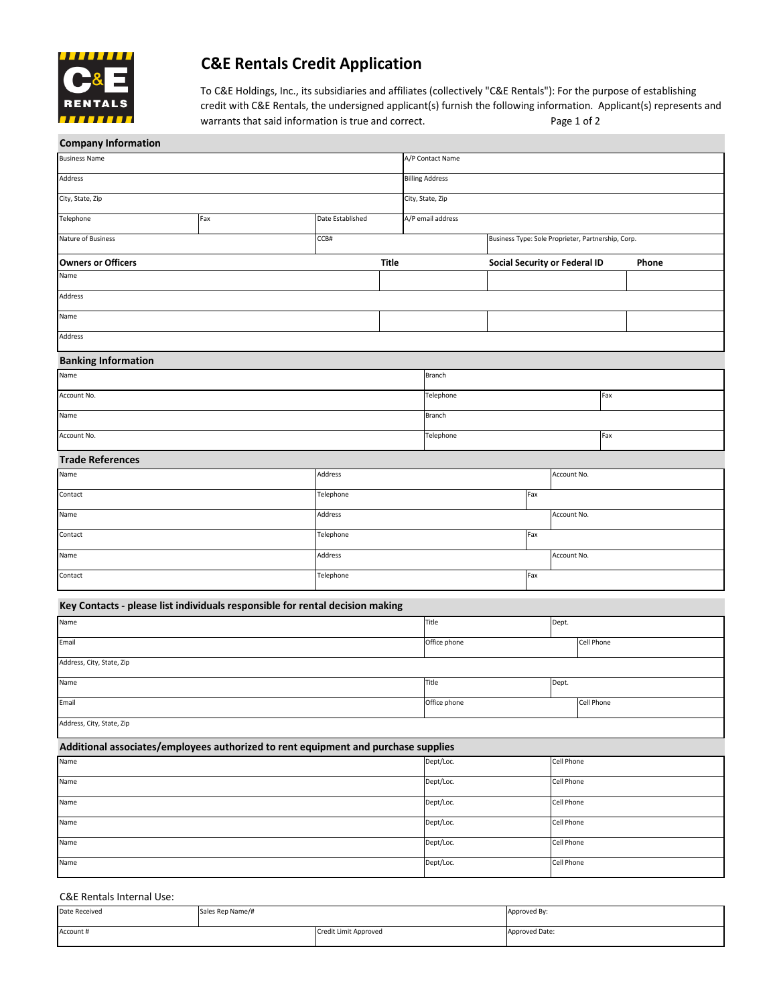

# **C&E Rentals Credit Application**

To C&E Holdings, Inc., its subsidiaries and affiliates (collectively "C&E Rentals"): For the purpose of establishing credit with C&E Rentals, the undersigned applicant(s) furnish the following information. Applicant(s) represents and warrants that said information is true and correct. Page 1 of 2

| <b>Company Information</b>                                                         |              |                  |              |                                                    |                   |                               |            |             |  |       |  |  |
|------------------------------------------------------------------------------------|--------------|------------------|--------------|----------------------------------------------------|-------------------|-------------------------------|------------|-------------|--|-------|--|--|
| <b>Business Name</b>                                                               |              |                  |              | A/P Contact Name                                   |                   |                               |            |             |  |       |  |  |
| Address                                                                            |              |                  |              | <b>Billing Address</b>                             |                   |                               |            |             |  |       |  |  |
| City, State, Zip                                                                   |              |                  |              | City, State, Zip                                   |                   |                               |            |             |  |       |  |  |
| Telephone                                                                          | Fax          | Date Established |              |                                                    | A/P email address |                               |            |             |  |       |  |  |
| Nature of Business                                                                 | CCB#         |                  |              | Business Type: Sole Proprieter, Partnership, Corp. |                   |                               |            |             |  |       |  |  |
| <b>Owners or Officers</b>                                                          |              |                  | <b>Title</b> |                                                    |                   | Social Security or Federal ID |            |             |  | Phone |  |  |
| Name                                                                               |              |                  |              |                                                    |                   |                               |            |             |  |       |  |  |
| Address                                                                            |              |                  |              |                                                    |                   |                               |            |             |  |       |  |  |
| Name                                                                               |              |                  |              |                                                    |                   |                               |            |             |  |       |  |  |
| Address                                                                            |              |                  |              |                                                    |                   |                               |            |             |  |       |  |  |
| <b>Banking Information</b>                                                         |              |                  |              |                                                    |                   |                               |            |             |  |       |  |  |
| Name                                                                               |              |                  |              |                                                    | Branch            |                               |            |             |  |       |  |  |
| Account No.                                                                        |              |                  |              | Telephone                                          |                   |                               | Fax        |             |  |       |  |  |
| Name                                                                               |              |                  |              |                                                    | Branch            |                               |            |             |  |       |  |  |
| Account No.                                                                        |              |                  |              | Telephone                                          |                   |                               |            | Fax         |  |       |  |  |
| <b>Trade References</b>                                                            |              |                  |              |                                                    |                   |                               |            |             |  |       |  |  |
| Name                                                                               |              | Address          |              |                                                    |                   |                               |            | Account No. |  |       |  |  |
| Contact                                                                            | Telephone    |                  |              |                                                    | Fax               |                               |            |             |  |       |  |  |
| Name                                                                               | Address      |                  |              |                                                    | Account No.       |                               |            |             |  |       |  |  |
| Telephone<br>Contact                                                               |              |                  |              |                                                    | Fax               |                               |            |             |  |       |  |  |
| Address<br>Name                                                                    |              |                  |              |                                                    |                   |                               |            | Account No. |  |       |  |  |
| Telephone<br>Contact                                                               |              |                  |              | Fax                                                |                   |                               |            |             |  |       |  |  |
| Key Contacts - please list individuals responsible for rental decision making      |              |                  |              |                                                    |                   |                               |            |             |  |       |  |  |
| Name                                                                               |              |                  |              | Title                                              | Dept.             |                               |            |             |  |       |  |  |
| Email                                                                              | Office phone |                  |              |                                                    |                   |                               |            | Cell Phone  |  |       |  |  |
| Address, City, State, Zip                                                          |              |                  |              |                                                    |                   |                               |            |             |  |       |  |  |
| Name                                                                               |              |                  |              |                                                    | Title             |                               |            | Dept.       |  |       |  |  |
| Email                                                                              |              |                  |              | Office phone                                       |                   |                               | Cell Phone |             |  |       |  |  |
| Address, City, State, Zip                                                          |              |                  |              |                                                    |                   |                               |            |             |  |       |  |  |
| Additional associates/employees authorized to rent equipment and purchase supplies |              |                  |              |                                                    |                   |                               |            |             |  |       |  |  |
| Name<br>Dept/Loc.<br>Cell Phone                                                    |              |                  |              |                                                    |                   |                               |            |             |  |       |  |  |
| Name                                                                               |              |                  |              |                                                    | Dept/Loc.         |                               |            | Cell Phone  |  |       |  |  |
| Name                                                                               |              |                  |              |                                                    | Dept/Loc.         |                               |            | Cell Phone  |  |       |  |  |
| Name                                                                               |              |                  |              |                                                    | Dept/Loc.         |                               |            | Cell Phone  |  |       |  |  |
| Name                                                                               |              |                  |              |                                                    | Dept/Loc.         |                               |            | Cell Phone  |  |       |  |  |
| Name                                                                               |              |                  |              |                                                    | Dept/Loc.         |                               |            | Cell Phone  |  |       |  |  |
|                                                                                    |              |                  |              |                                                    |                   |                               |            |             |  |       |  |  |

### C&E Rentals Internal Use:

| Date Received | Sales Rep Name/# |                       | Approved By:   |  |  |  |
|---------------|------------------|-----------------------|----------------|--|--|--|
| Account #     |                  | Credit Limit Approved | Approved Date: |  |  |  |